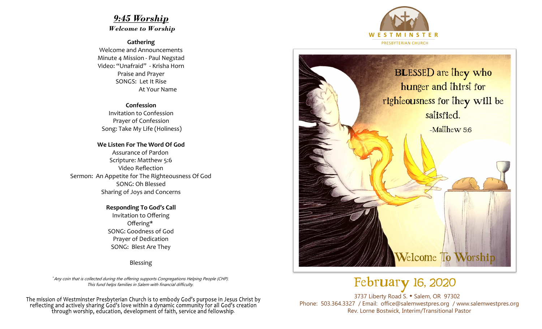## *9:45 Worship*

*Welcome to Worship*

**Gathering**

Welcome and Announcements Minute 4 Mission - Paul Negstad Video: "Unafraid" - Krisha Horn Praise and Prayer SONGS: Let It Rise At Your Name

## **Confession**

Invitation to Confession Prayer of Confession Song: Take My Life (Holiness)

**We Listen For The Word Of God** Assurance of Pardon Scripture: Matthew 5:6 Video Reflection Sermon: An Appetite for The Righteousness Of God SONG: Oh Blessed Sharing of Joys and Concerns

> **Responding To God's Call** Invitation to Offering Offering\* SONG: Goodness of God Prayer of Dedication SONG: Blest Are They

> > Blessing

+ Any coin that is collected during the offering supports Congregations Helping People (CHP). This fund helps families in Salem with financial difficulty.

The mission of Westminster Presbyterian Church is to embody God's purpose in Jesus Christ by reflecting and actively sharing God's love within a dynamic community for all God's creation through worship, education, development of faith, service and fellowship.





## February 16, 2020

3737 Liberty Road S. • Salem, OR 97302 Phone: 503.364.3327 / Email: office@salemwestpres.org / www.salemwestpres.org Rev. Lorne Bostwick, Interim/Transitional Pastor